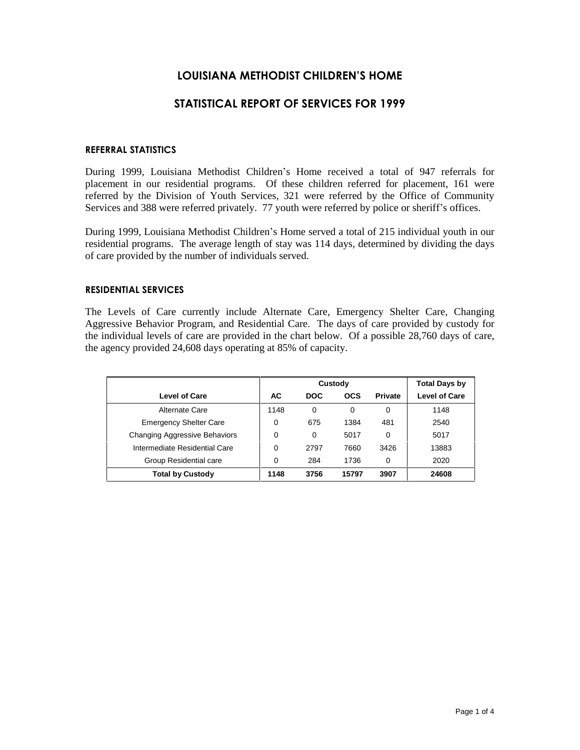# **LOUISIANA METHODIST CHILDRENíS HOME**

# **STATISTICAL REPORT OF SERVICES FOR 1999**

### **REFERRAL STATISTICS**

During 1999, Louisiana Methodist Children's Home received a total of 947 referrals for placement in our residential programs. Of these children referred for placement, 161 were referred by the Division of Youth Services, 321 were referred by the Office of Community Services and 388 were referred privately. 77 youth were referred by police or sheriff's offices.

During 1999, Louisiana Methodist Children's Home served a total of 215 individual youth in our residential programs. The average length of stay was 114 days, determined by dividing the days of care provided by the number of individuals served.

## **RESIDENTIAL SERVICES**

The Levels of Care currently include Alternate Care, Emergency Shelter Care, Changing Aggressive Behavior Program, and Residential Care. The days of care provided by custody for the individual levels of care are provided in the chart below. Of a possible 28,760 days of care, the agency provided 24,608 days operating at 85% of capacity.

|                                      |      | Custody    | <b>Total Days by</b> |                |                      |
|--------------------------------------|------|------------|----------------------|----------------|----------------------|
| <b>Level of Care</b>                 | AC   | <b>DOC</b> | <b>OCS</b>           | <b>Private</b> | <b>Level of Care</b> |
| Alternate Care                       | 1148 | $\Omega$   | 0                    | 0              | 1148                 |
| <b>Emergency Shelter Care</b>        | 0    | 675        | 1384                 | 481            | 2540                 |
| <b>Changing Aggressive Behaviors</b> | 0    | $\Omega$   | 5017                 | 0              | 5017                 |
| Intermediate Residential Care        | 0    | 2797       | 7660                 | 3426           | 13883                |
| Group Residential care               | 0    | 284        | 1736                 | 0              | 2020                 |
| <b>Total by Custody</b>              | 1148 | 3756       | 15797                | 3907           | 24608                |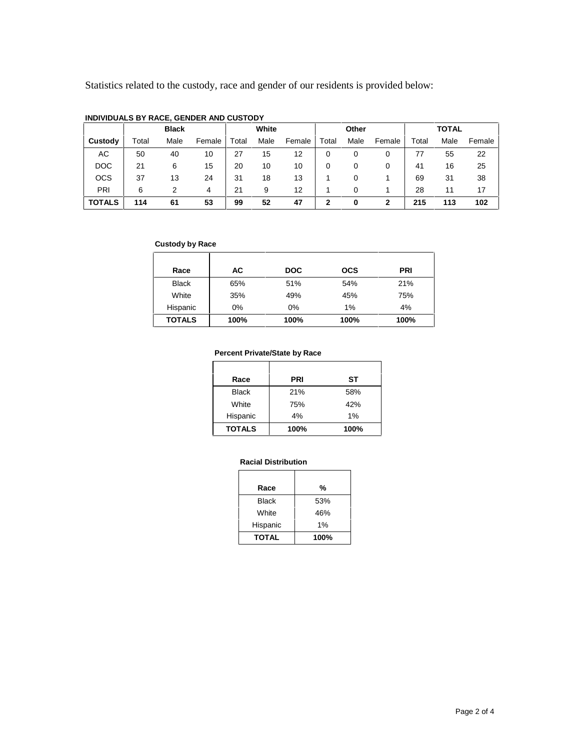Statistics related to the custody, race and gender of our residents is provided below:

|               |       | <b>Black</b> |        | White |      | Other  |       |      | <b>TOTAL</b> |       |      |        |
|---------------|-------|--------------|--------|-------|------|--------|-------|------|--------------|-------|------|--------|
| Custody       | Total | Male         | Female | Total | Male | Female | Total | Male | Female       | Total | Male | Female |
| АC            | 50    | 40           | 10     | 27    | 15   | 12     | 0     | 0    | 0            | 77    | 55   | 22     |
| <b>DOC</b>    | 21    | 6            | 15     | 20    | 10   | 10     | 0     | 0    | 0            | 41    | 16   | 25     |
| <b>OCS</b>    | 37    | 13           | 24     | 31    | 18   | 13     |       | 0    |              | 69    | 31   | 38     |
| PRI           | 6     |              | 4      | 21    | 9    | 12     |       | 0    |              | 28    | 11   | 17     |
| <b>TOTALS</b> | 114   | 61           | 53     | 99    | 52   | 47     | 2     | 0    | 2            | 215   | 113  | 102    |

### **INDIVIDUALS BY RACE, GENDER AND CUSTODY**

### **Custody by Race**

| Race          | АC   | <b>DOC</b> | <b>OCS</b> | <b>PRI</b> |
|---------------|------|------------|------------|------------|
| <b>Black</b>  | 65%  | 51%        | 54%        | 21%        |
| White         | 35%  | 49%        | 45%        | 75%        |
| Hispanic      | 0%   | 0%         | 1%         | 4%         |
| <b>TOTALS</b> | 100% | 100%       | 100%       | 100%       |

## **Percent Private/State by Race**

| Race          | <b>PRI</b> | SТ   |
|---------------|------------|------|
| <b>Black</b>  | 21%        | 58%  |
| White         | 75%        | 42%  |
| Hispanic      | 4%         | 1%   |
| <b>TOTALS</b> | 100%       | 100% |

## **Racial Distribution**

| Race         | %    |
|--------------|------|
| <b>Black</b> | 53%  |
| White        | 46%  |
| Hispanic     | 1%   |
| <b>TOTAL</b> | 100% |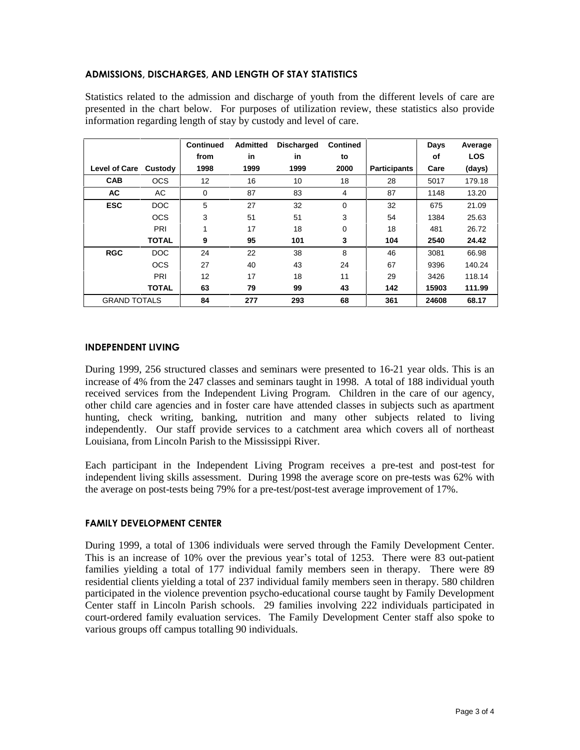## **ADMISSIONS, DISCHARGES, AND LENGTH OF STAY STATISTICS**

Statistics related to the admission and discharge of youth from the different levels of care are presented in the chart below. For purposes of utilization review, these statistics also provide information regarding length of stay by custody and level of care.

|                      |              | <b>Continued</b> | <b>Admitted</b> | <b>Discharged</b> | <b>Contined</b> |                     | Days  | Average    |
|----------------------|--------------|------------------|-----------------|-------------------|-----------------|---------------------|-------|------------|
|                      |              | from             | in              | in                | to              |                     | οf    | <b>LOS</b> |
| <b>Level of Care</b> | Custody      | 1998             | 1999            | 1999              | 2000            | <b>Participants</b> | Care  | (days)     |
| <b>CAB</b>           | <b>OCS</b>   | 12               | 16              | 10                | 18              | 28                  | 5017  | 179.18     |
| <b>AC</b>            | AC           | 0                | 87              | 83                | 4               | 87                  | 1148  | 13.20      |
| <b>ESC</b>           | DOC          | 5                | 27              | 32                | $\mathbf 0$     | 32                  | 675   | 21.09      |
|                      | <b>OCS</b>   | 3                | 51              | 51                | 3               | 54                  | 1384  | 25.63      |
|                      | PRI          | 1                | 17              | 18                | $\mathbf 0$     | 18                  | 481   | 26.72      |
|                      | <b>TOTAL</b> | 9                | 95              | 101               | 3               | 104                 | 2540  | 24.42      |
| <b>RGC</b>           | DOC          | 24               | 22              | 38                | 8               | 46                  | 3081  | 66.98      |
|                      | <b>OCS</b>   | 27               | 40              | 43                | 24              | 67                  | 9396  | 140.24     |
|                      | PRI          | 12               | 17              | 18                | 11              | 29                  | 3426  | 118.14     |
|                      | <b>TOTAL</b> | 63               | 79              | 99                | 43              | 142                 | 15903 | 111.99     |
| <b>GRAND TOTALS</b>  |              | 84               | 277             | 293               | 68              | 361                 | 24608 | 68.17      |

## **INDEPENDENT LIVING**

During 1999, 256 structured classes and seminars were presented to 16-21 year olds. This is an increase of 4% from the 247 classes and seminars taught in 1998. A total of 188 individual youth received services from the Independent Living Program. Children in the care of our agency, other child care agencies and in foster care have attended classes in subjects such as apartment hunting, check writing, banking, nutrition and many other subjects related to living independently. Our staff provide services to a catchment area which covers all of northeast Louisiana, from Lincoln Parish to the Mississippi River.

Each participant in the Independent Living Program receives a pre-test and post-test for independent living skills assessment. During 1998 the average score on pre-tests was 62% with the average on post-tests being 79% for a pre-test/post-test average improvement of 17%.

## **FAMILY DEVELOPMENT CENTER**

During 1999, a total of 1306 individuals were served through the Family Development Center. This is an increase of 10% over the previous year's total of 1253. There were 83 out-patient families yielding a total of 177 individual family members seen in therapy. There were 89 residential clients yielding a total of 237 individual family members seen in therapy. 580 children participated in the violence prevention psycho-educational course taught by Family Development Center staff in Lincoln Parish schools. 29 families involving 222 individuals participated in court-ordered family evaluation services. The Family Development Center staff also spoke to various groups off campus totalling 90 individuals.